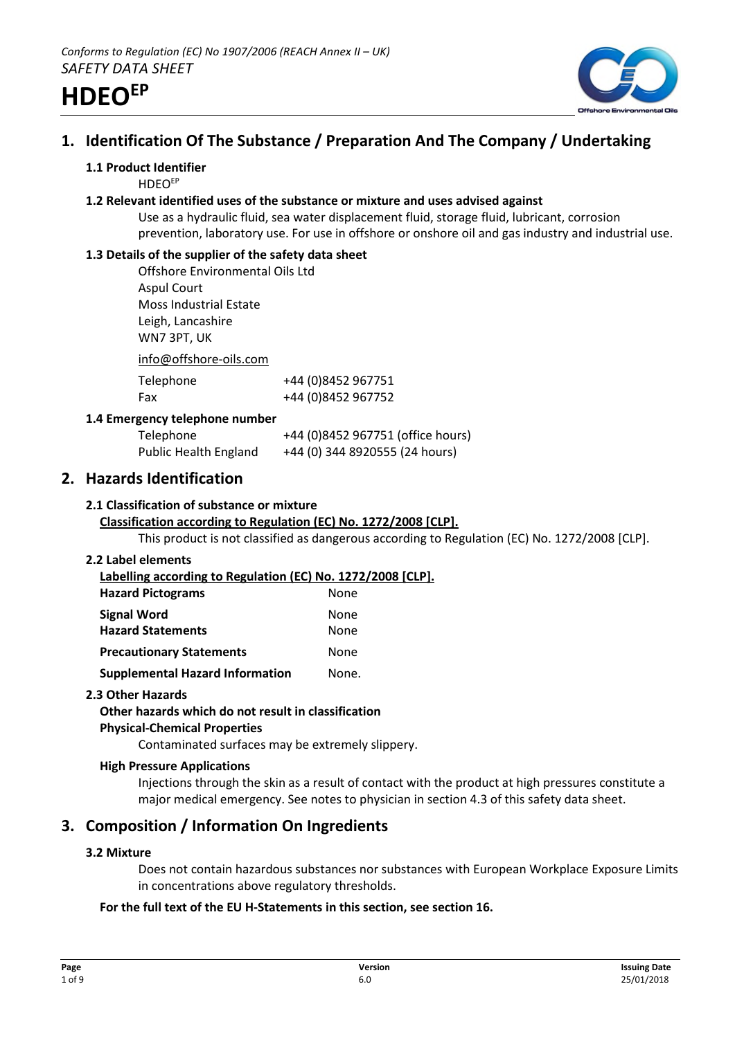

# **1. Identification Of The Substance / Preparation And The Company / Undertaking**

## **1.1 Product Identifier**

**HDFOEP** 

## **1.2 Relevant identified uses of the substance or mixture and uses advised against**

Use as a hydraulic fluid, sea water displacement fluid, storage fluid, lubricant, corrosion prevention, laboratory use. For use in offshore or onshore oil and gas industry and industrial use.

# **1.3 Details of the supplier of the safety data sheet**

Offshore Environmental Oils Ltd Aspul Court Moss Industrial Estate Leigh, Lancashire WN7 3PT, UK

info@offshore-oils.com

| Telephone | +44 (0)8452 967751 |
|-----------|--------------------|
| Fax       | +44 (0)8452 967752 |

## **1.4 Emergency telephone number**

| Telephone                    | +44 (0)8452 967751 (office hours) |
|------------------------------|-----------------------------------|
| <b>Public Health England</b> | +44 (0) 344 8920555 (24 hours)    |

# **2. Hazards Identification**

## **2.1 Classification of substance or mixture**

# **Classification according to Regulation (EC) No. 1272/2008 [CLP].**

This product is not classified as dangerous according to Regulation (EC) No. 1272/2008 [CLP].

#### **2.2 Label elements**

**Labelling according to Regulation (EC) No. 1272/2008 [CLP]. Hazard Pictograms** None **Signal Word** None **Hazard Statements** None

| Hazard Statements               | ivone. |
|---------------------------------|--------|
| <b>Precautionary Statements</b> | None   |

**Supplemental Hazard Information Mone.** 

#### **2.3 Other Hazards**

# **Other hazards which do not result in classification**

# **Physical-Chemical Properties**

Contaminated surfaces may be extremely slippery.

#### **High Pressure Applications**

Injections through the skin as a result of contact with the product at high pressures constitute a major medical emergency. See notes to physician in section 4.3 of this safety data sheet.

# **3. Composition / Information On Ingredients**

# **3.2 Mixture**

Does not contain hazardous substances nor substances with European Workplace Exposure Limits in concentrations above regulatory thresholds.

# **For the full text of the EU H-Statements in this section, see section 16.**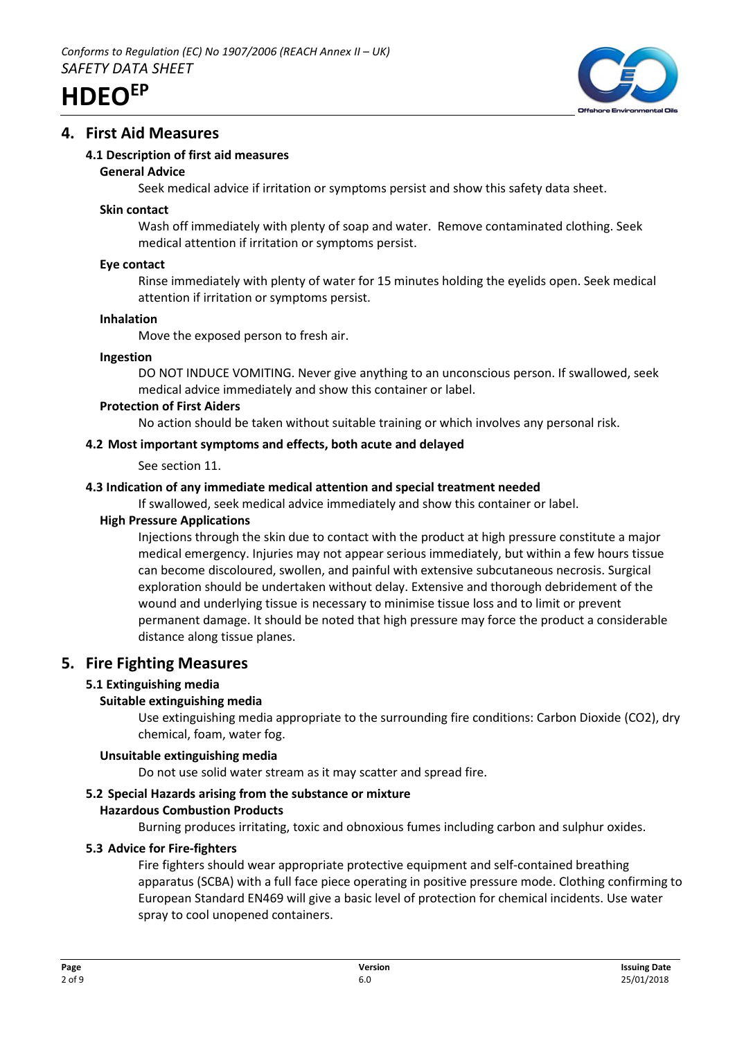

# **4. First Aid Measures**

## **4.1 Description of first aid measures**

#### **General Advice**

Seek medical advice if irritation or symptoms persist and show this safety data sheet.

#### **Skin contact**

Wash off immediately with plenty of soap and water. Remove contaminated clothing. Seek medical attention if irritation or symptoms persist.

#### **Eye contact**

Rinse immediately with plenty of water for 15 minutes holding the eyelids open. Seek medical attention if irritation or symptoms persist.

#### **Inhalation**

Move the exposed person to fresh air.

#### **Ingestion**

DO NOT INDUCE VOMITING. Never give anything to an unconscious person. If swallowed, seek medical advice immediately and show this container or label.

#### **Protection of First Aiders**

No action should be taken without suitable training or which involves any personal risk.

#### **4.2 Most important symptoms and effects, both acute and delayed**

See section 11.

#### **4.3 Indication of any immediate medical attention and special treatment needed**

If swallowed, seek medical advice immediately and show this container or label.

#### **High Pressure Applications**

Injections through the skin due to contact with the product at high pressure constitute a major medical emergency. Injuries may not appear serious immediately, but within a few hours tissue can become discoloured, swollen, and painful with extensive subcutaneous necrosis. Surgical exploration should be undertaken without delay. Extensive and thorough debridement of the wound and underlying tissue is necessary to minimise tissue loss and to limit or prevent permanent damage. It should be noted that high pressure may force the product a considerable distance along tissue planes.

# **5. Fire Fighting Measures**

#### **5.1 Extinguishing media**

#### **Suitable extinguishing media**

Use extinguishing media appropriate to the surrounding fire conditions: Carbon Dioxide (CO2), dry chemical, foam, water fog.

#### **Unsuitable extinguishing media**

Do not use solid water stream as it may scatter and spread fire.

# **5.2 Special Hazards arising from the substance or mixture**

## **Hazardous Combustion Products**

Burning produces irritating, toxic and obnoxious fumes including carbon and sulphur oxides.

#### **5.3 Advice for Fire-fighters**

Fire fighters should wear appropriate protective equipment and self-contained breathing apparatus (SCBA) with a full face piece operating in positive pressure mode. Clothing confirming to European Standard EN469 will give a basic level of protection for chemical incidents. Use water spray to cool unopened containers.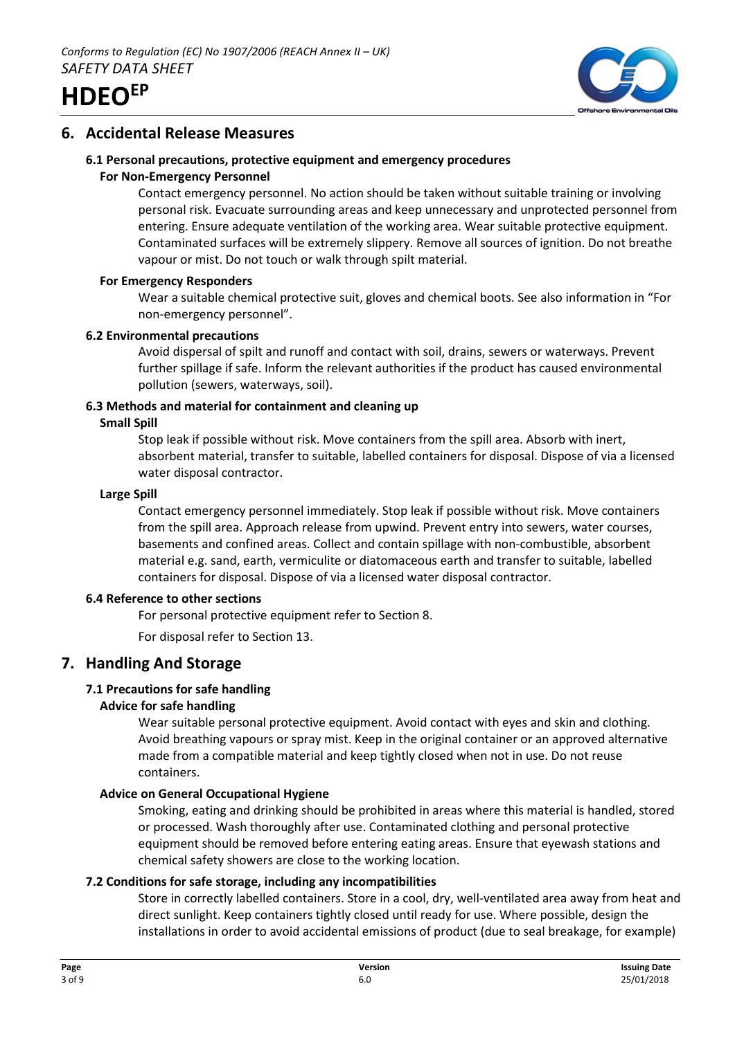



# **6. Accidental Release Measures**

# **6.1 Personal precautions, protective equipment and emergency procedures**

## **For Non-Emergency Personnel**

Contact emergency personnel. No action should be taken without suitable training or involving personal risk. Evacuate surrounding areas and keep unnecessary and unprotected personnel from entering. Ensure adequate ventilation of the working area. Wear suitable protective equipment. Contaminated surfaces will be extremely slippery. Remove all sources of ignition. Do not breathe vapour or mist. Do not touch or walk through spilt material.

## **For Emergency Responders**

Wear a suitable chemical protective suit, gloves and chemical boots. See also information in "For non-emergency personnel".

## **6.2 Environmental precautions**

Avoid dispersal of spilt and runoff and contact with soil, drains, sewers or waterways. Prevent further spillage if safe. Inform the relevant authorities if the product has caused environmental pollution (sewers, waterways, soil).

# **6.3 Methods and material for containment and cleaning up**

## **Small Spill**

Stop leak if possible without risk. Move containers from the spill area. Absorb with inert, absorbent material, transfer to suitable, labelled containers for disposal. Dispose of via a licensed water disposal contractor.

## **Large Spill**

Contact emergency personnel immediately. Stop leak if possible without risk. Move containers from the spill area. Approach release from upwind. Prevent entry into sewers, water courses, basements and confined areas. Collect and contain spillage with non-combustible, absorbent material e.g. sand, earth, vermiculite or diatomaceous earth and transfer to suitable, labelled containers for disposal. Dispose of via a licensed water disposal contractor.

#### **6.4 Reference to other sections**

For personal protective equipment refer to Section 8.

For disposal refer to Section 13.

# **7. Handling And Storage**

# **7.1 Precautions for safe handling**

# **Advice for safe handling**

Wear suitable personal protective equipment. Avoid contact with eyes and skin and clothing. Avoid breathing vapours or spray mist. Keep in the original container or an approved alternative made from a compatible material and keep tightly closed when not in use. Do not reuse containers.

# **Advice on General Occupational Hygiene**

Smoking, eating and drinking should be prohibited in areas where this material is handled, stored or processed. Wash thoroughly after use. Contaminated clothing and personal protective equipment should be removed before entering eating areas. Ensure that eyewash stations and chemical safety showers are close to the working location.

# **7.2 Conditions for safe storage, including any incompatibilities**

Store in correctly labelled containers. Store in a cool, dry, well-ventilated area away from heat and direct sunlight. Keep containers tightly closed until ready for use. Where possible, design the installations in order to avoid accidental emissions of product (due to seal breakage, for example)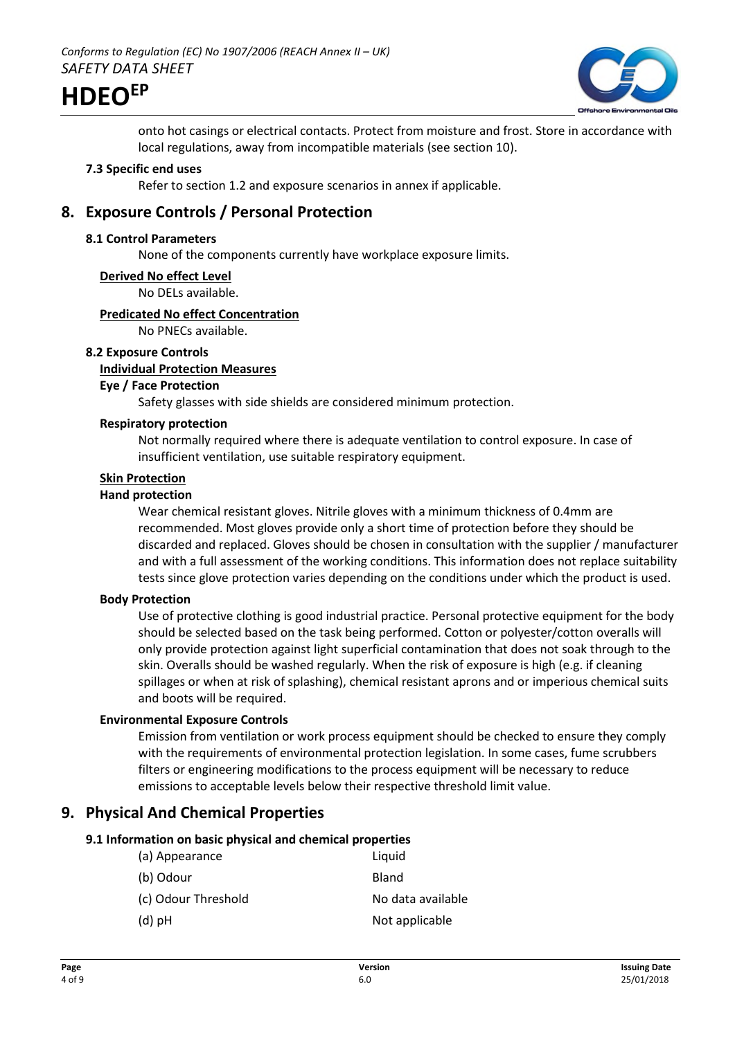

onto hot casings or electrical contacts. Protect from moisture and frost. Store in accordance with local regulations, away from incompatible materials (see section 10).

#### **7.3 Specific end uses**

Refer to section 1.2 and exposure scenarios in annex if applicable.

# **8. Exposure Controls / Personal Protection**

#### **8.1 Control Parameters**

None of the components currently have workplace exposure limits.

#### **Derived No effect Level**

No DELs available.

#### **Predicated No effect Concentration**

No PNECs available.

#### **8.2 Exposure Controls**

#### **Individual Protection Measures**

## **Eye / Face Protection**

Safety glasses with side shields are considered minimum protection.

# **Respiratory protection**

Not normally required where there is adequate ventilation to control exposure. In case of insufficient ventilation, use suitable respiratory equipment.

# **Skin Protection**

#### **Hand protection**

Wear chemical resistant gloves. Nitrile gloves with a minimum thickness of 0.4mm are recommended. Most gloves provide only a short time of protection before they should be discarded and replaced. Gloves should be chosen in consultation with the supplier / manufacturer and with a full assessment of the working conditions. This information does not replace suitability tests since glove protection varies depending on the conditions under which the product is used.

#### **Body Protection**

Use of protective clothing is good industrial practice. Personal protective equipment for the body should be selected based on the task being performed. Cotton or polyester/cotton overalls will only provide protection against light superficial contamination that does not soak through to the skin. Overalls should be washed regularly. When the risk of exposure is high (e.g. if cleaning spillages or when at risk of splashing), chemical resistant aprons and or imperious chemical suits and boots will be required.

#### **Environmental Exposure Controls**

Emission from ventilation or work process equipment should be checked to ensure they comply with the requirements of environmental protection legislation. In some cases, fume scrubbers filters or engineering modifications to the process equipment will be necessary to reduce emissions to acceptable levels below their respective threshold limit value.

# **9. Physical And Chemical Properties**

#### **9.1 Information on basic physical and chemical properties**

| (a) Appearance      | Liquid            |
|---------------------|-------------------|
| (b) Odour           | Bland             |
| (c) Odour Threshold | No data available |
| $(d)$ pH            | Not applicable    |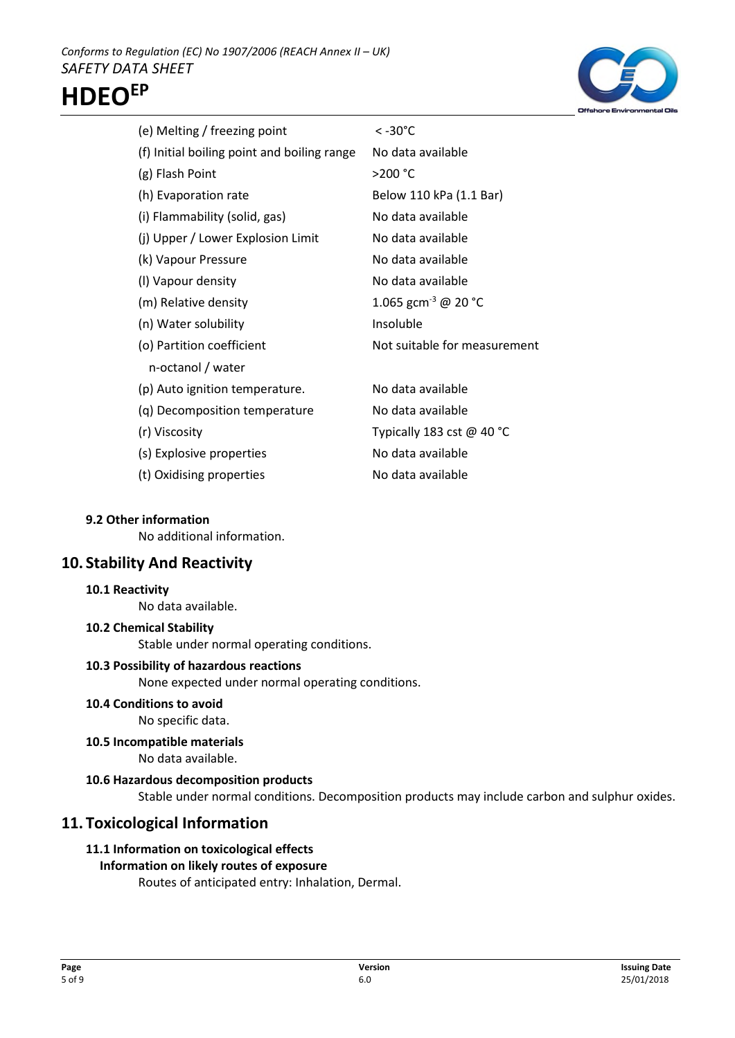



| (e) Melting / freezing point                | < -30°C                         |
|---------------------------------------------|---------------------------------|
| (f) Initial boiling point and boiling range | No data available               |
| (g) Flash Point                             | >200 °C                         |
| (h) Evaporation rate                        | Below 110 kPa (1.1 Bar)         |
| (i) Flammability (solid, gas)               | No data available               |
| (j) Upper / Lower Explosion Limit           | No data available               |
| (k) Vapour Pressure                         | No data available               |
| (I) Vapour density                          | No data available               |
| (m) Relative density                        | 1.065 gcm <sup>-3</sup> @ 20 °C |
| (n) Water solubility                        | Insoluble                       |
| (o) Partition coefficient                   | Not suitable for measurement    |
| n-octanol / water                           |                                 |
| (p) Auto ignition temperature.              | No data available               |
| (q) Decomposition temperature               | No data available               |
| (r) Viscosity                               | Typically 183 cst $@$ 40 °C     |
| (s) Explosive properties                    | No data available               |
| (t) Oxidising properties                    | No data available               |
|                                             |                                 |

#### **9.2 Other information**

No additional information.

# **10. Stability And Reactivity**

#### **10.1 Reactivity**

No data available.

#### **10.2 Chemical Stability**

Stable under normal operating conditions.

#### **10.3 Possibility of hazardous reactions**

None expected under normal operating conditions.

**10.4 Conditions to avoid**

No specific data.

**10.5 Incompatible materials**

No data available.

## **10.6 Hazardous decomposition products**

Stable under normal conditions. Decomposition products may include carbon and sulphur oxides.

# **11. Toxicological Information**

# **11.1 Information on toxicological effects**

# **Information on likely routes of exposure**

Routes of anticipated entry: Inhalation, Dermal.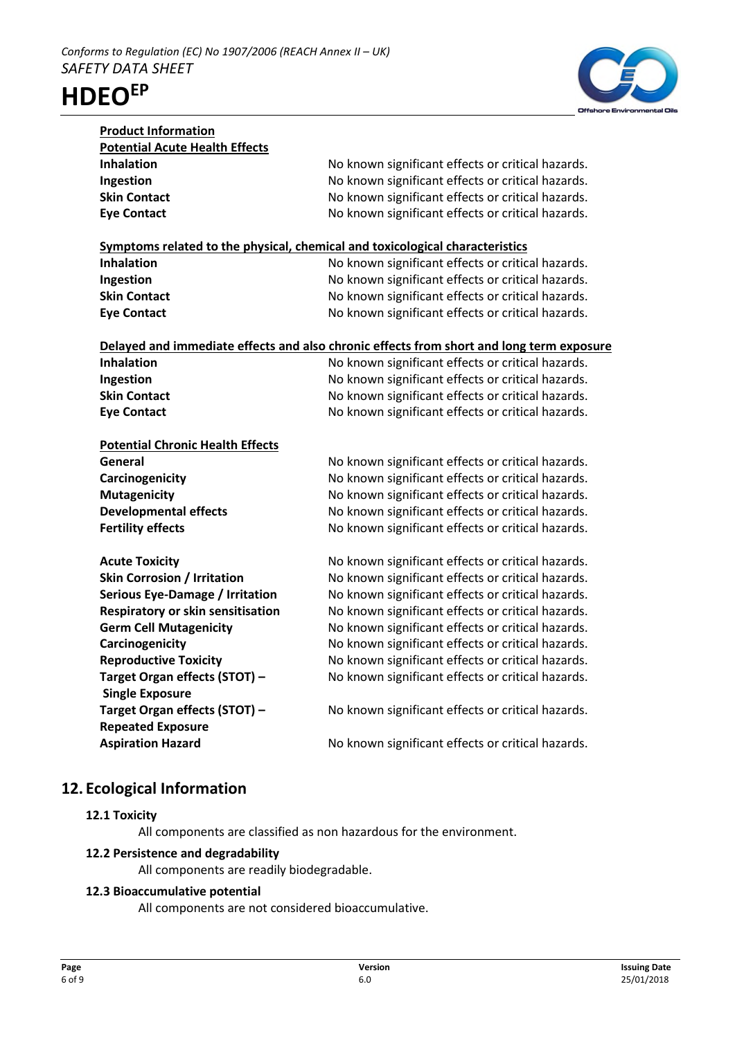



| <b>Product Information</b>                                                   |                                                                                          |
|------------------------------------------------------------------------------|------------------------------------------------------------------------------------------|
| <b>Potential Acute Health Effects</b>                                        |                                                                                          |
| <b>Inhalation</b>                                                            | No known significant effects or critical hazards.                                        |
| Ingestion                                                                    | No known significant effects or critical hazards.                                        |
| <b>Skin Contact</b>                                                          | No known significant effects or critical hazards.                                        |
| <b>Eye Contact</b>                                                           | No known significant effects or critical hazards.                                        |
|                                                                              |                                                                                          |
| Symptoms related to the physical, chemical and toxicological characteristics |                                                                                          |
| <b>Inhalation</b>                                                            | No known significant effects or critical hazards.                                        |
| Ingestion                                                                    | No known significant effects or critical hazards.                                        |
| <b>Skin Contact</b>                                                          | No known significant effects or critical hazards.                                        |
| <b>Eye Contact</b>                                                           | No known significant effects or critical hazards.                                        |
|                                                                              |                                                                                          |
|                                                                              | Delayed and immediate effects and also chronic effects from short and long term exposure |
| <b>Inhalation</b>                                                            | No known significant effects or critical hazards.                                        |
| Ingestion                                                                    | No known significant effects or critical hazards.                                        |
| <b>Skin Contact</b>                                                          | No known significant effects or critical hazards.                                        |
| <b>Eye Contact</b>                                                           | No known significant effects or critical hazards.                                        |
|                                                                              |                                                                                          |
| <b>Potential Chronic Health Effects</b>                                      |                                                                                          |
| General                                                                      | No known significant effects or critical hazards.                                        |
| Carcinogenicity                                                              | No known significant effects or critical hazards.                                        |
| <b>Mutagenicity</b>                                                          | No known significant effects or critical hazards.                                        |
| <b>Developmental effects</b>                                                 | No known significant effects or critical hazards.                                        |
| <b>Fertility effects</b>                                                     | No known significant effects or critical hazards.                                        |
|                                                                              |                                                                                          |
| <b>Acute Toxicity</b>                                                        | No known significant effects or critical hazards.                                        |
| <b>Skin Corrosion / Irritation</b>                                           | No known significant effects or critical hazards.                                        |
| <b>Serious Eye-Damage / Irritation</b>                                       | No known significant effects or critical hazards.                                        |
| Respiratory or skin sensitisation                                            | No known significant effects or critical hazards.                                        |
| <b>Germ Cell Mutagenicity</b>                                                | No known significant effects or critical hazards.                                        |
| Carcinogenicity                                                              | No known significant effects or critical hazards.                                        |
| <b>Reproductive Toxicity</b>                                                 | No known significant effects or critical hazards.                                        |
| Target Organ effects (STOT) -                                                | No known significant effects or critical hazards.                                        |
| <b>Single Exposure</b>                                                       |                                                                                          |
| Target Organ effects (STOT) -                                                | No known significant effects or critical hazards.                                        |
| <b>Repeated Exposure</b>                                                     |                                                                                          |
| <b>Aspiration Hazard</b>                                                     | No known significant effects or critical hazards.                                        |

# **12. Ecological Information**

## **12.1 Toxicity**

All components are classified as non hazardous for the environment.

#### **12.2 Persistence and degradability**

All components are readily biodegradable.

# **12.3 Bioaccumulative potential**

All components are not considered bioaccumulative.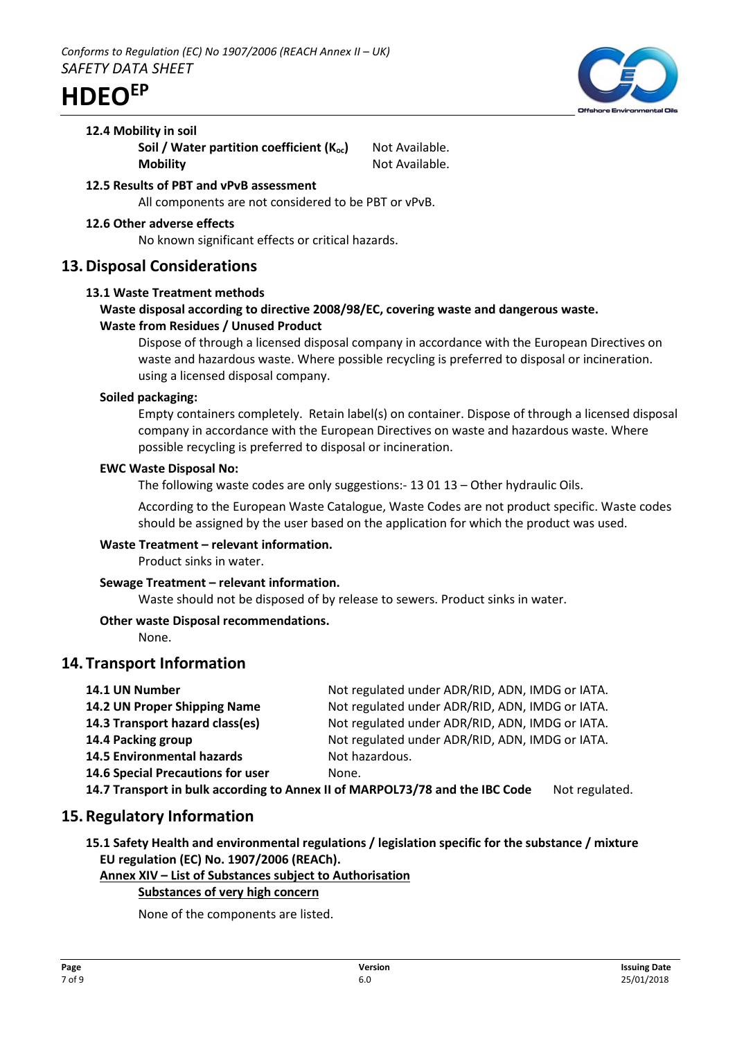

#### **12.4 Mobility in soil**

**Soil / Water partition coefficient (K<sub>oc</sub>)** Not Available. **Mobility** Not Available.

#### **12.5 Results of PBT and vPvB assessment** All components are not considered to be PBT or vPvB.

## **12.6 Other adverse effects**

No known significant effects or critical hazards.

# **13.Disposal Considerations**

#### **13.1 Waste Treatment methods**

# **Waste disposal according to directive 2008/98/EC, covering waste and dangerous waste. Waste from Residues / Unused Product**

Dispose of through a licensed disposal company in accordance with the European Directives on waste and hazardous waste. Where possible recycling is preferred to disposal or incineration. using a licensed disposal company.

#### **Soiled packaging:**

Empty containers completely. Retain label(s) on container. Dispose of through a licensed disposal company in accordance with the European Directives on waste and hazardous waste. Where possible recycling is preferred to disposal or incineration.

#### **EWC Waste Disposal No:**

The following waste codes are only suggestions:- 13 01 13 – Other hydraulic Oils.

According to the European Waste Catalogue, Waste Codes are not product specific. Waste codes should be assigned by the user based on the application for which the product was used.

#### **Waste Treatment – relevant information.**

Product sinks in water.

# **Sewage Treatment – relevant information.**

Waste should not be disposed of by release to sewers. Product sinks in water.

# **Other waste Disposal recommendations.**

None.

# **14. Transport Information**

| 14.1 UN Number                                                               | Not regulated under ADR/RID, ADN, IMDG or IATA. |                |
|------------------------------------------------------------------------------|-------------------------------------------------|----------------|
| 14.2 UN Proper Shipping Name                                                 | Not regulated under ADR/RID, ADN, IMDG or IATA. |                |
| 14.3 Transport hazard class(es)                                              | Not regulated under ADR/RID, ADN, IMDG or IATA. |                |
| 14.4 Packing group                                                           | Not regulated under ADR/RID, ADN, IMDG or IATA. |                |
| <b>14.5 Environmental hazards</b>                                            | Not hazardous.                                  |                |
| 14.6 Special Precautions for user                                            | None.                                           |                |
| 14.7 Transport in bulk according to Annex II of MARPOL73/78 and the IBC Code |                                                 | Not regulated. |

# **15.Regulatory Information**

**15.1 Safety Health and environmental regulations / legislation specific for the substance / mixture EU regulation (EC) No. 1907/2006 (REACh).**

#### **Annex XIV – List of Substances subject to Authorisation**

# **Substances of very high concern**

None of the components are listed.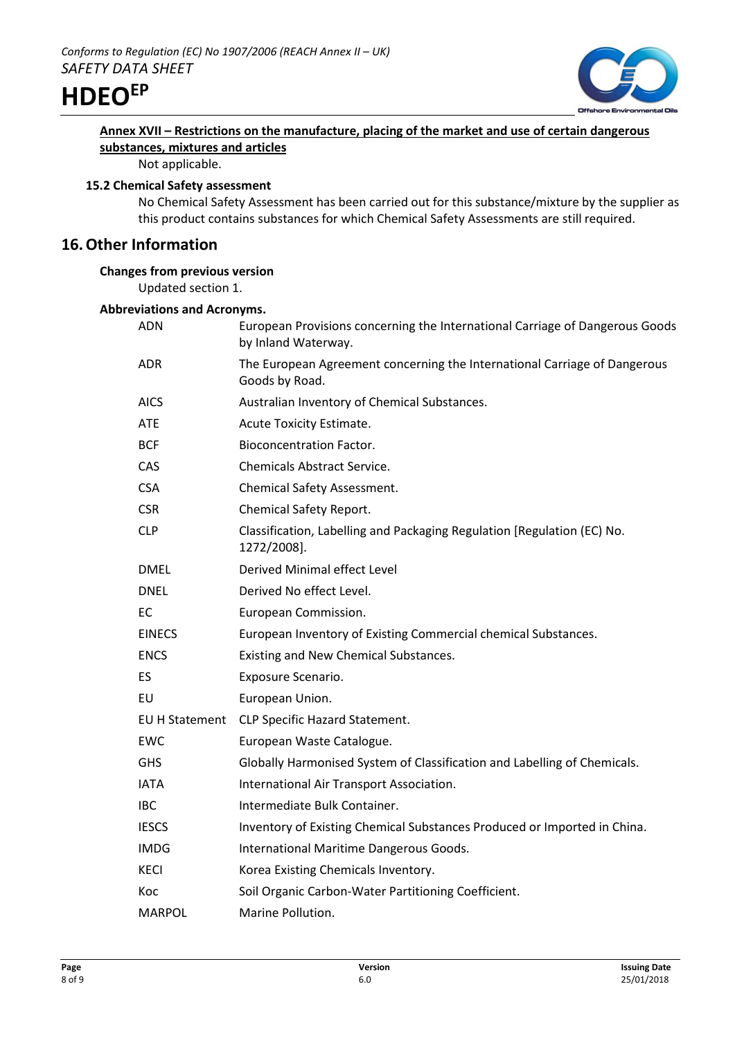



# **Annex XVII – Restrictions on the manufacture, placing of the market and use of certain dangerous substances, mixtures and articles**

Not applicable.

## **15.2 Chemical Safety assessment**

No Chemical Safety Assessment has been carried out for this substance/mixture by the supplier as this product contains substances for which Chemical Safety Assessments are still required.

# **16.Other Information**

# **Changes from previous version**

Updated section 1.

## **Abbreviations and Acronyms.**

| ADN            | European Provisions concerning the International Carriage of Dangerous Goods<br>by Inland Waterway. |
|----------------|-----------------------------------------------------------------------------------------------------|
| ADR.           | The European Agreement concerning the International Carriage of Dangerous<br>Goods by Road.         |
| <b>AICS</b>    | Australian Inventory of Chemical Substances.                                                        |
| <b>ATE</b>     | Acute Toxicity Estimate.                                                                            |
| <b>BCF</b>     | <b>Bioconcentration Factor.</b>                                                                     |
| <b>CAS</b>     | <b>Chemicals Abstract Service.</b>                                                                  |
| <b>CSA</b>     | <b>Chemical Safety Assessment.</b>                                                                  |
| <b>CSR</b>     | Chemical Safety Report.                                                                             |
| <b>CLP</b>     | Classification, Labelling and Packaging Regulation [Regulation (EC) No.<br>1272/2008].              |
| <b>DMEL</b>    | Derived Minimal effect Level                                                                        |
| <b>DNEL</b>    | Derived No effect Level.                                                                            |
| EC             | European Commission.                                                                                |
| <b>EINECS</b>  | European Inventory of Existing Commercial chemical Substances.                                      |
| <b>ENCS</b>    | Existing and New Chemical Substances.                                                               |
| ES             | Exposure Scenario.                                                                                  |
| EU             | European Union.                                                                                     |
| EU H Statement | CLP Specific Hazard Statement.                                                                      |
| EWC            | European Waste Catalogue.                                                                           |
| <b>GHS</b>     | Globally Harmonised System of Classification and Labelling of Chemicals.                            |
| <b>IATA</b>    | International Air Transport Association.                                                            |
| <b>IBC</b>     | Intermediate Bulk Container.                                                                        |
| <b>IESCS</b>   | Inventory of Existing Chemical Substances Produced or Imported in China.                            |
| <b>IMDG</b>    | International Maritime Dangerous Goods.                                                             |
| KECI           | Korea Existing Chemicals Inventory.                                                                 |
| Koc            | Soil Organic Carbon-Water Partitioning Coefficient.                                                 |
| <b>MARPOL</b>  | Marine Pollution.                                                                                   |
|                |                                                                                                     |